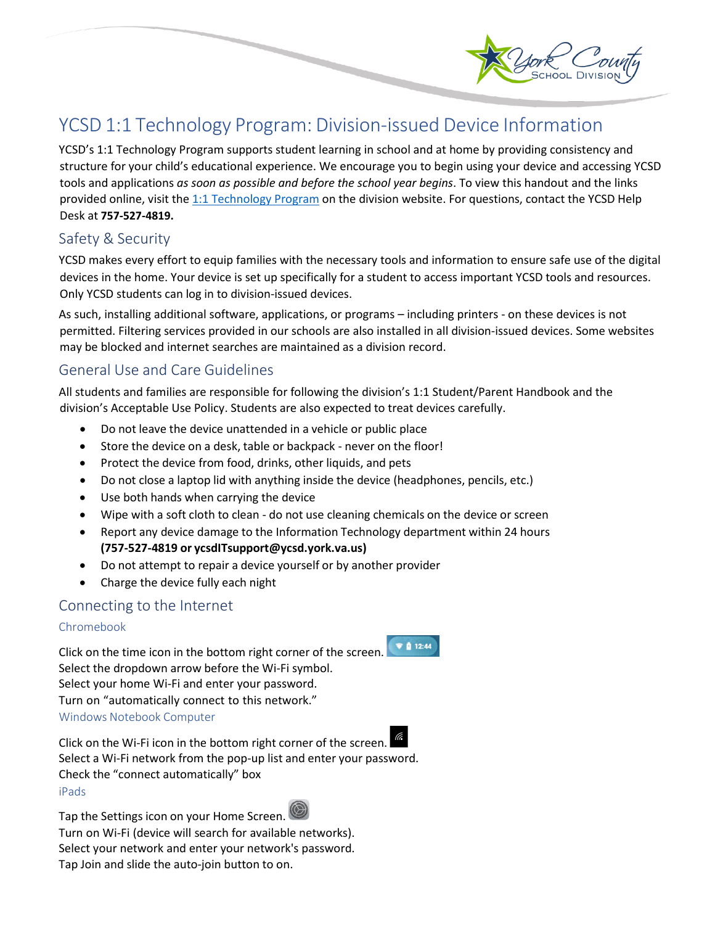

# YCSD 1:1 Technology Program: Division-issued Device Information

YCSD's 1:1 Technology Program supports student learning in school and at home by providing consistency and structure for your child's educational experience. We encourage you to begin using your device and accessing YCSD tools and applications *as soon as possible and before the school year begins*. To view this handout and the links provided online, visit th[e 1:1 Technology Program](https://yorkcountyschools.org/technology/edTech/1to1technology.aspx) on the division website. For questions, contact the YCSD Help Desk at **757-527-4819.**

# Safety & Security

YCSD makes every effort to equip families with the necessary tools and information to ensure safe use of the digital devices in the home. Your device is set up specifically for a student to access important YCSD tools and resources. Only YCSD students can log in to division-issued devices.

As such, installing additional software, applications, or programs – including printers - on these devices is not permitted. Filtering services provided in our schools are also installed in all division-issued devices. Some websites may be blocked and internet searches are maintained as a division record.

# General Use and Care Guidelines

All students and families are responsible for following the division's 1:1 Student/Parent Handbook and the division's Acceptable Use Policy. Students are also expected to treat devices carefully.

- Do not leave the device unattended in a vehicle or public place
- Store the device on a desk, table or backpack never on the floor!
- Protect the device from food, drinks, other liquids, and pets
- Do not close a laptop lid with anything inside the device (headphones, pencils, etc.)
- Use both hands when carrying the device
- Wipe with a soft cloth to clean do not use cleaning chemicals on the device or screen
- Report any device damage to the Information Technology department within 24 hours **(757-527-4819 or ycsdITsupport@ycsd.york.va.us)**
- Do not attempt to repair a device yourself or by another provider
- Charge the device fully each night

# Connecting to the Internet

### Chromebook

Click on the time icon in the bottom right corner of the screen. Select the dropdown arrow before the Wi-Fi symbol. Select your home Wi-Fi and enter your password. Turn on "automatically connect to this network." Windows Notebook Computer

Click on the Wi-Fi icon in the bottom right corner of the screen. Select a Wi-Fi network from the pop-up list and enter your password. Check the "connect automatically" box iPads

Tap the Settings icon on your Home Screen. Turn on Wi-Fi (device will search for available networks). Select your network and enter your network's password. Tap Join and slide the auto-join button to on.

 $\n **12:44**\n$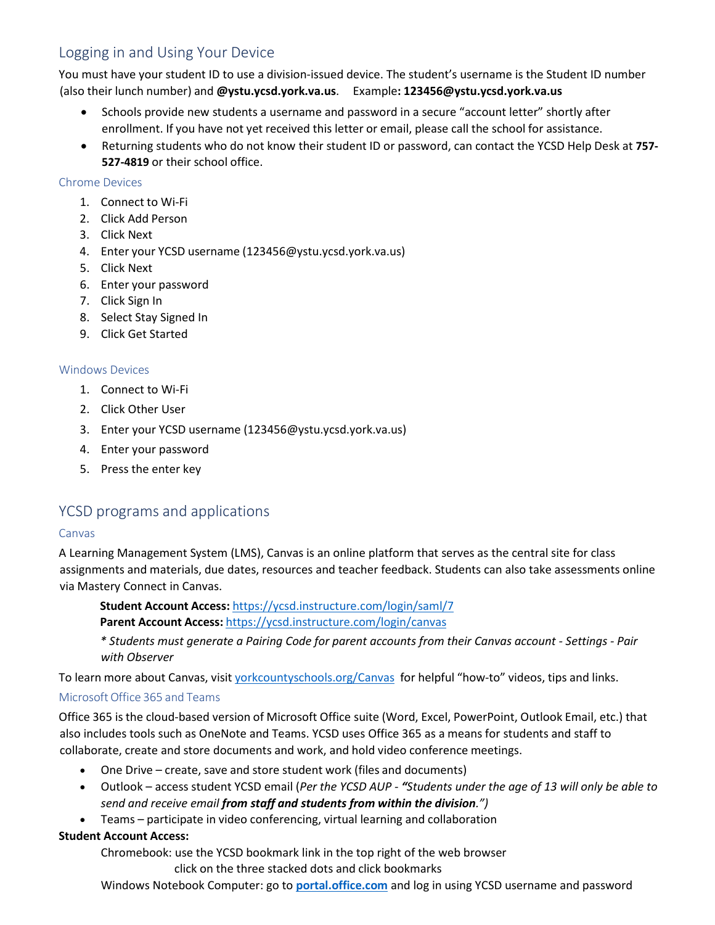# Logging in and Using Your Device

You must have your student ID to use a division-issued device. The student's username is the Student ID number (also their lunch number) and **@ystu.ycsd.york.va.us**. Example**: [123456@ystu.ycsd.york.va.us](mailto:123456@ystu.ycsd.york.va.us)**

- Schools provide new students a username and password in a secure "account letter" shortly after enrollment. If you have not yet received this letter or email, please call the school for assistance.
- Returning students who do not know their student ID or password, can contact the YCSD Help Desk at **757- 527-4819** or their school office.

### Chrome Devices

- 1. Connect to Wi-Fi
- 2. Click Add Person
- 3. Click Next
- 4. Enter your YCSD username (123456@ystu.ycsd.york.va.us)
- 5. Click Next
- 6. Enter your password
- 7. Click Sign In
- 8. Select Stay Signed In
- 9. Click Get Started

#### Windows Devices

- 1. Connect to Wi-Fi
- 2. Click Other User
- 3. Enter your YCSD username [\(123456@ystu.ycsd.york.va.us\)](mailto:123456@ystu.ycsd.york.va.us)
- 4. Enter your password
- 5. Press the enter key

### YCSD programs and applications

#### Canvas

A Learning Management System (LMS), Canvas is an online platform that serves as the central site for class assignments and materials, due dates, resources and teacher feedback. Students can also take assessments online via Mastery Connect in Canvas.

**Student Account Access:** <https://ycsd.instructure.com/login/saml/7> **Parent Account Access:** <https://ycsd.instructure.com/login/canvas>

*\* Students must generate a Pairing Code for parent accounts from their Canvas account - Settings - Pair with Observer*

To learn more about Canvas, visit [yorkcountyschools.org/Canvas](https://yorkcountyschools.org/Canvas) for helpful "how-to" videos, tips and links.

### MicrosoftOffice 365 and Teams

Office 365 is the cloud-based version of Microsoft Office suite (Word, Excel, PowerPoint, Outlook Email, etc.) that also includes tools such as OneNote and Teams. YCSD uses Office 365 as a means for students and staff to collaborate, create and store documents and work, and hold video conference meetings.

- One Drive create, save and store student work (files and documents)
- Outlook access student YCSD email (*Per the YCSD AUP - "Students under the age of 13 will only be able to send and receive email from staff and students from within the division.")*
- Teams participate in video conferencing, virtual learning and collaboration

### **Student Account Access:**

Chromebook: use the YCSD bookmark link in the top right of the web browser

click on the three stacked dots and click bookmarks

Windows Notebook Computer: go to **[portal.office.com](https://login.microsoftonline.com/common/oauth2/authorize?client_id=4345a7b9-9a63-4910-a426-35363201d503&redirect_uri=https%3A%2F%2Fwww.office.com%2Flanding&response_type=code%20id_token&scope=openid%20profile&response_mode=form_post&nonce=637339670989737828.YTI0ZGZkMWItNjkzNy00ODE0LWIxNDctZGY2NTE1ZDY4NDU3MGFkOWE5OTgtYzczMy00NzM0LTk5NmQtZDQxNDA0ODlhODkz&ui_locales=en-US&mkt=en-US&client-request-id=9b86002b-3f05-4ca8-9c19-b8b41f062a99&state=a-UQc85xffFIsXdg-qeZ5rLMY6oBpXy1i3bTeeLNhUS6eHoxofjSYEc_nHReEe-LzPOohYhHmWoikuCudfK5s9qrOg-2THMPXjJleIswEnmppE2fZBoZd3Cbt524jkgHCtIimZECZU-xuuRR4Qq9LM0VaqaXcLWwXnBCfKJ1CgjHL8oYKlLPKS0HKM-ZOmNVbPUlWSM62bezUy4KLBgqoQDowsjV0qvDGxkmxs7aYz6VnKG1QzE9CQwETwp-bekm_CR1w1FqNdWQ_7gYpONEXt_UsKvqK0OwPCb9iQEHBVs&x-client-SKU=ID_NETSTANDARD2_0&x-client-ver=6.6.0.0)** and log in using YCSD username and password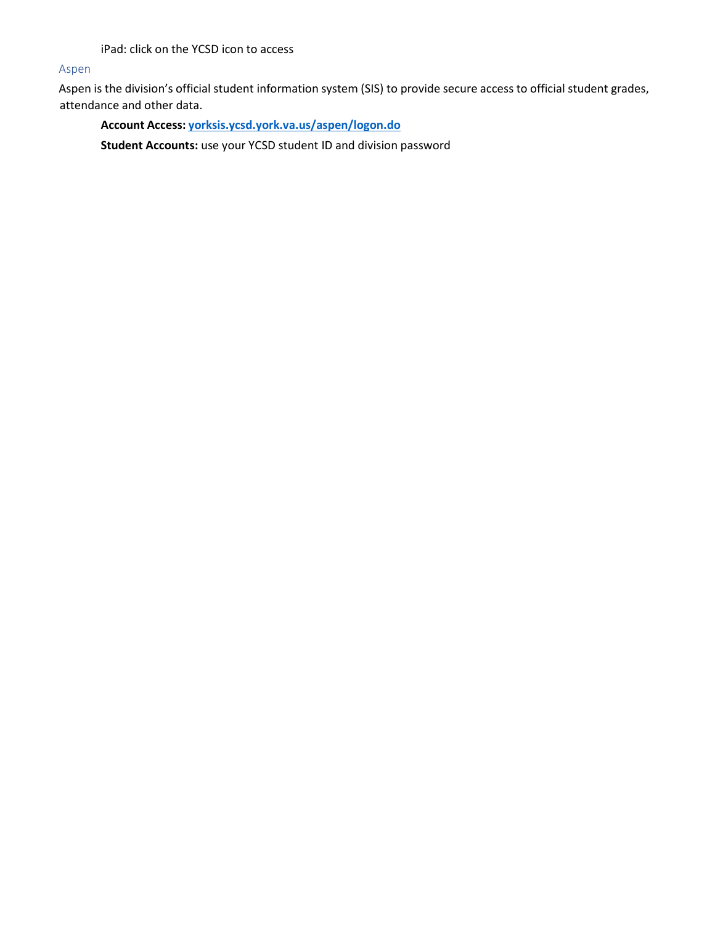iPad: click on the YCSD icon to access

#### Aspen

Aspen is the division's official student information system (SIS) to provide secure access to official student grades, attendance and other data.

**Account Access: [yorksis.ycsd.york.va.us/aspen/logon.do](https://yorksis.ycsd.york.va.us/aspen/logon.do)**

**Student Accounts:** use your YCSD student ID and division password